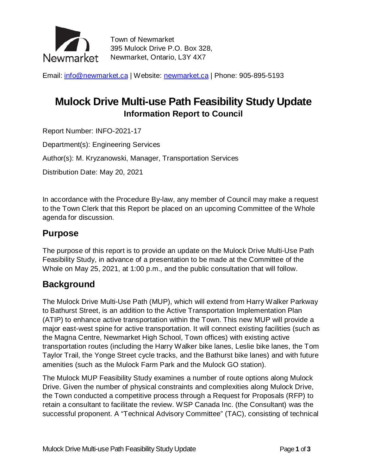

Town of Newmarket 395 Mulock Drive P.O. Box 328, Newmarket, Ontario, L3Y 4X7

Email: [info@newmarket.ca](mailto:info@newmarket.ca?subject=General%20inquiry) | Website: [newmarket.ca](http://www.newmarket.ca/) | Phone: 905-895-5193

# **Mulock Drive Multi-use Path Feasibility Study Update Information Report to Council**

Report Number: INFO-2021-17

Department(s): Engineering Services

Author(s): M. Kryzanowski, Manager, Transportation Services

Distribution Date: May 20, 2021

In accordance with the Procedure By-law, any member of Council may make a request to the Town Clerk that this Report be placed on an upcoming Committee of the Whole agenda for discussion.

### **Purpose**

The purpose of this report is to provide an update on the Mulock Drive Multi-Use Path Feasibility Study, in advance of a presentation to be made at the Committee of the Whole on May 25, 2021, at 1:00 p.m., and the public consultation that will follow.

### **Background**

The Mulock Drive Multi-Use Path (MUP), which will extend from Harry Walker Parkway to Bathurst Street, is an addition to the Active Transportation Implementation Plan (ATIP) to enhance active transportation within the Town. This new MUP will provide a major east-west spine for active transportation. It will connect existing facilities (such as the Magna Centre, Newmarket High School, Town offices) with existing active transportation routes (including the Harry Walker bike lanes, Leslie bike lanes, the Tom Taylor Trail, the Yonge Street cycle tracks, and the Bathurst bike lanes) and with future amenities (such as the Mulock Farm Park and the Mulock GO station).

The Mulock MUP Feasibility Study examines a number of route options along Mulock Drive. Given the number of physical constraints and complexities along Mulock Drive, the Town conducted a competitive process through a Request for Proposals (RFP) to retain a consultant to facilitate the review. WSP Canada Inc. (the Consultant) was the successful proponent. A "Technical Advisory Committee" (TAC), consisting of technical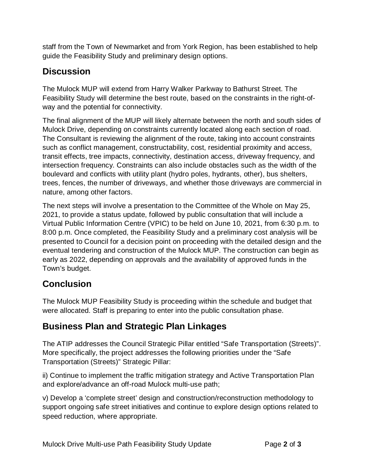staff from the Town of Newmarket and from York Region, has been established to help guide the Feasibility Study and preliminary design options.

### **Discussion**

The Mulock MUP will extend from Harry Walker Parkway to Bathurst Street. The Feasibility Study will determine the best route, based on the constraints in the right-ofway and the potential for connectivity.

The final alignment of the MUP will likely alternate between the north and south sides of Mulock Drive, depending on constraints currently located along each section of road. The Consultant is reviewing the alignment of the route, taking into account constraints such as conflict management, constructability, cost, residential proximity and access, transit effects, tree impacts, connectivity, destination access, driveway frequency, and intersection frequency. Constraints can also include obstacles such as the width of the boulevard and conflicts with utility plant (hydro poles, hydrants, other), bus shelters, trees, fences, the number of driveways, and whether those driveways are commercial in nature, among other factors.

The next steps will involve a presentation to the Committee of the Whole on May 25, 2021, to provide a status update, followed by public consultation that will include a Virtual Public Information Centre (VPIC) to be held on June 10, 2021, from 6:30 p.m. to 8:00 p.m. Once completed, the Feasibility Study and a preliminary cost analysis will be presented to Council for a decision point on proceeding with the detailed design and the eventual tendering and construction of the Mulock MUP. The construction can begin as early as 2022, depending on approvals and the availability of approved funds in the Town's budget.

## **Conclusion**

The Mulock MUP Feasibility Study is proceeding within the schedule and budget that were allocated. Staff is preparing to enter into the public consultation phase.

## **Business Plan and Strategic Plan Linkages**

The ATIP addresses the Council Strategic Pillar entitled "Safe Transportation (Streets)". More specifically, the project addresses the following priorities under the "Safe Transportation (Streets)" Strategic Pillar:

ii) Continue to implement the traffic mitigation strategy and Active Transportation Plan and explore/advance an off-road Mulock multi-use path;

v) Develop a 'complete street' design and construction/reconstruction methodology to support ongoing safe street initiatives and continue to explore design options related to speed reduction, where appropriate.